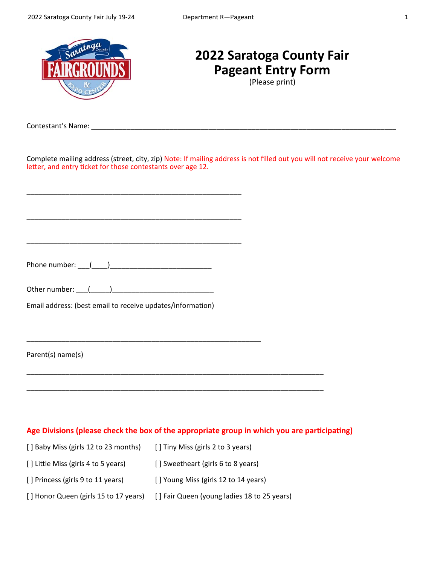

# **2022 Saratoga County Fair Pageant Entry Form**

(Please print)

Contestant's Name: \_\_\_\_\_\_\_\_\_\_\_\_\_\_\_\_\_\_\_\_\_\_\_\_\_\_\_\_\_\_\_\_\_\_\_\_\_\_\_\_\_\_\_\_\_\_\_\_\_\_\_\_\_\_\_\_\_\_\_\_\_\_\_\_\_\_\_\_\_\_\_\_\_\_\_\_\_\_

Complete mailing address (street, city, zip) Note: If mailing address is not filled out you will not receive your welcome letter, and entry ticket for those contestants over age 12.

Phone number: \_\_\_(\_\_\_\_)\_\_\_\_\_\_\_\_\_\_\_\_\_\_\_\_\_\_\_\_\_\_\_\_\_\_

| Other number: |  |  |  |
|---------------|--|--|--|
|               |  |  |  |

\_\_\_\_\_\_\_\_\_\_\_\_\_\_\_\_\_\_\_\_\_\_\_\_\_\_\_\_\_\_\_\_\_\_\_\_\_\_\_\_\_\_\_\_\_\_\_\_\_\_\_\_\_\_\_

\_\_\_\_\_\_\_\_\_\_\_\_\_\_\_\_\_\_\_\_\_\_\_\_\_\_\_\_\_\_\_\_\_\_\_\_\_\_\_\_\_\_\_\_\_\_\_\_\_\_\_\_\_\_\_

\_\_\_\_\_\_\_\_\_\_\_\_\_\_\_\_\_\_\_\_\_\_\_\_\_\_\_\_\_\_\_\_\_\_\_\_\_\_\_\_\_\_\_\_\_\_\_\_\_\_\_\_\_\_\_

\_\_\_\_\_\_\_\_\_\_\_\_\_\_\_\_\_\_\_\_\_\_\_\_\_\_\_\_\_\_\_\_\_\_\_\_\_\_\_\_\_\_\_\_\_\_\_\_\_\_\_\_\_\_\_\_\_\_\_\_

Email address: (best email to receive updates/information)

Parent(s) name(s)

## Age Divisions (please check the box of the appropriate group in which you are participating)

\_\_\_\_\_\_\_\_\_\_\_\_\_\_\_\_\_\_\_\_\_\_\_\_\_\_\_\_\_\_\_\_\_\_\_\_\_\_\_\_\_\_\_\_\_\_\_\_\_\_\_\_\_\_\_\_\_\_\_\_\_\_\_\_\_\_\_\_\_\_\_\_\_\_\_\_

\_\_\_\_\_\_\_\_\_\_\_\_\_\_\_\_\_\_\_\_\_\_\_\_\_\_\_\_\_\_\_\_\_\_\_\_\_\_\_\_\_\_\_\_\_\_\_\_\_\_\_\_\_\_\_\_\_\_\_\_\_\_\_\_\_\_\_\_\_\_\_\_\_\_\_\_

| [] Baby Miss (girls 12 to 23 months)  | [] Tiny Miss (girls 2 to 3 years)           |
|---------------------------------------|---------------------------------------------|
| [] Little Miss (girls 4 to 5 years)   | [] Sweetheart (girls 6 to 8 years)          |
| [] Princess (girls 9 to 11 years)     | [] Young Miss (girls 12 to 14 years)        |
| [] Honor Queen (girls 15 to 17 years) | [] Fair Queen (young ladies 18 to 25 years) |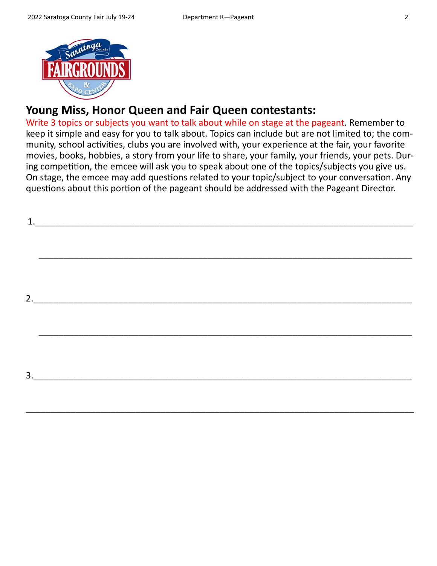

# **Young Miss, Honor Queen and Fair Queen contestants:**

Write 3 topics or subjects you want to talk about while on stage at the pageant. Remember to keep it simple and easy for you to talk about. Topics can include but are not limited to; the com‐ munity, school activities, clubs you are involved with, your experience at the fair, your favorite movies, books, hobbies, a story from your life to share, your family, your friends, your pets. Dur‐ ing competition, the emcee will ask you to speak about one of the topics/subjects you give us. On stage, the emcee may add questions related to your topic/subject to your conversation. Any questions about this portion of the pageant should be addressed with the Pageant Director.

| 3. |  |  |  |
|----|--|--|--|
|    |  |  |  |

\_\_\_\_\_\_\_\_\_\_\_\_\_\_\_\_\_\_\_\_\_\_\_\_\_\_\_\_\_\_\_\_\_\_\_\_\_\_\_\_\_\_\_\_\_\_\_\_\_\_\_\_\_\_\_\_\_\_\_\_\_\_\_\_\_\_\_\_\_\_\_\_\_\_\_\_\_\_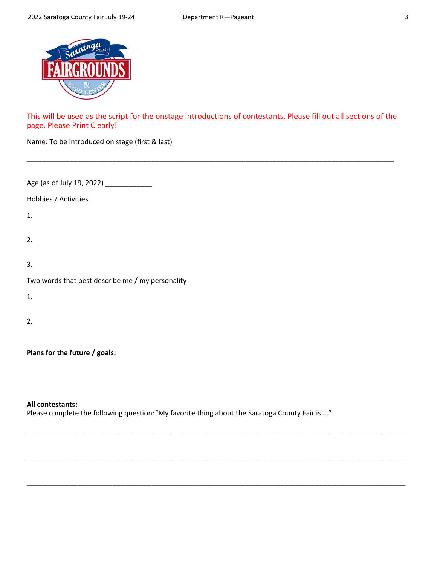

This will be used as the script for the onstage introductions of contestants. Please fill out all sections of the page. Please Print Clearly!

\_\_\_\_\_\_\_\_\_\_\_\_\_\_\_\_\_\_\_\_\_\_\_\_\_\_\_\_\_\_\_\_\_\_\_\_\_\_\_\_\_\_\_\_\_\_\_\_\_\_\_\_\_\_\_\_\_\_\_\_\_\_\_\_\_\_\_\_\_\_\_\_\_\_\_\_\_\_\_\_\_\_\_\_\_\_\_\_\_\_\_\_\_\_

| Name: To be introduced on stage (first & last) |  |  |
|------------------------------------------------|--|--|
|------------------------------------------------|--|--|

Age (as of July 19, 2022) \_\_\_\_\_\_\_\_\_\_\_\_\_\_\_

Hobbies / Activities

1.

2.

3.

|  | Two words that best describe me / my personality |
|--|--------------------------------------------------|
|  |                                                  |

1.

2.

**Plans for the future / goals:** 

#### **All contestants:**

Please complete the following question: "My favorite thing about the Saratoga County Fair is...."

\_\_\_\_\_\_\_\_\_\_\_\_\_\_\_\_\_\_\_\_\_\_\_\_\_\_\_\_\_\_\_\_\_\_\_\_\_\_\_\_\_\_\_\_\_\_\_\_\_\_\_\_\_\_\_\_\_\_\_\_\_\_\_\_\_\_\_\_\_\_\_\_\_\_\_\_\_\_\_\_\_\_\_\_\_\_\_\_\_\_\_\_\_\_\_\_\_

\_\_\_\_\_\_\_\_\_\_\_\_\_\_\_\_\_\_\_\_\_\_\_\_\_\_\_\_\_\_\_\_\_\_\_\_\_\_\_\_\_\_\_\_\_\_\_\_\_\_\_\_\_\_\_\_\_\_\_\_\_\_\_\_\_\_\_\_\_\_\_\_\_\_\_\_\_\_\_\_\_\_\_\_\_\_\_\_\_\_\_\_\_\_\_\_\_

\_\_\_\_\_\_\_\_\_\_\_\_\_\_\_\_\_\_\_\_\_\_\_\_\_\_\_\_\_\_\_\_\_\_\_\_\_\_\_\_\_\_\_\_\_\_\_\_\_\_\_\_\_\_\_\_\_\_\_\_\_\_\_\_\_\_\_\_\_\_\_\_\_\_\_\_\_\_\_\_\_\_\_\_\_\_\_\_\_\_\_\_\_\_\_\_\_